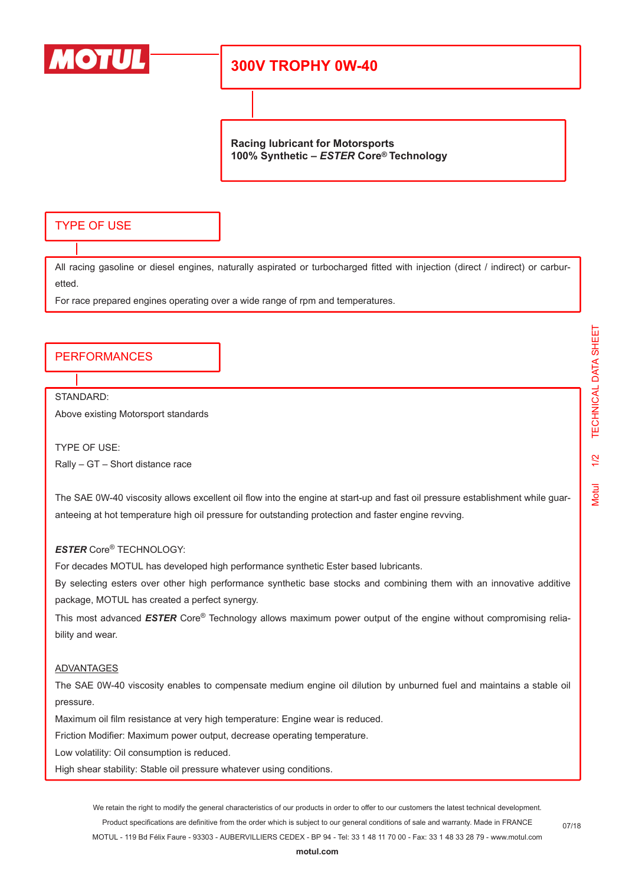

## **300V TROPHY 0W-40**

**Racing lubricant for Motorsports 100% Synthetic –** *ESTER* **Core® Technology**

### TYPE OF USE

All racing gasoline or diesel engines, naturally aspirated or turbocharged fitted with injection (direct / indirect) or carburetted.

For race prepared engines operating over a wide range of rpm and temperatures.

#### PERFORMANCES

STANDARD:

Above existing Motorsport standards

TYPE OF USE: Rally – GT – Short distance race

The SAE 0W-40 viscosity allows excellent oil flow into the engine at start-up and fast oil pressure establishment while guaranteeing at hot temperature high oil pressure for outstanding protection and faster engine revving.

#### *ESTER* Core® TECHNOLOGY:

For decades MOTUL has developed high performance synthetic Ester based lubricants.

By selecting esters over other high performance synthetic base stocks and combining them with an innovative additive package, MOTUL has created a perfect synergy.

This most advanced *ESTER* Core® Technology allows maximum power output of the engine without compromising reliability and wear.

#### ADVANTAGES

The SAE 0W-40 viscosity enables to compensate medium engine oil dilution by unburned fuel and maintains a stable oil pressure.

Maximum oil film resistance at very high temperature: Engine wear is reduced.

Friction Modifier: Maximum power output, decrease operating temperature.

Low volatility: Oil consumption is reduced.

High shear stability: Stable oil pressure whatever using conditions.

We retain the right to modify the general characteristics of our products in order to offer to our customers the latest technical development. Product specifications are definitive from the order which is subject to our general conditions of sale and warranty. Made in FRANCE MOTUL - 119 Bd Félix Faure - 93303 - AUBERVILLIERS CEDEX - BP 94 - Tel: 33 1 48 11 70 00 - Fax: 33 1 48 33 28 79 - www.motul.com